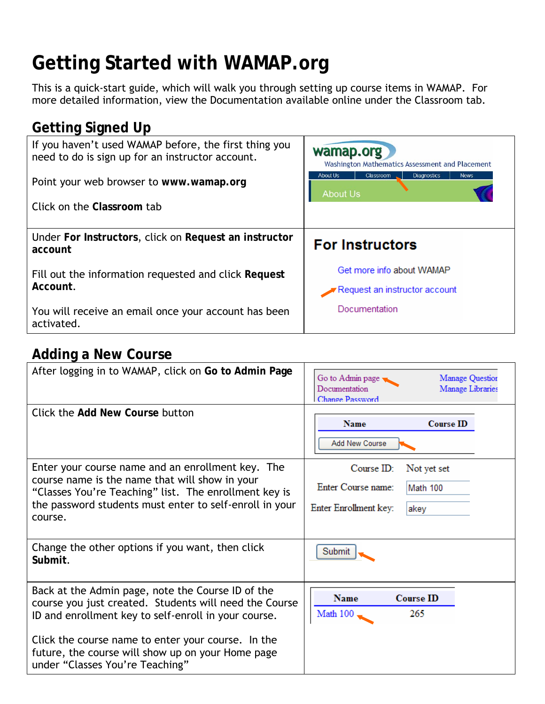# **Getting Started with WAMAP.org**

This is a quick-start guide, which will walk you through setting up course items in WAMAP. For more detailed information, view the Documentation available online under the Classroom tab.

# **Getting Signed Up**

| If you haven't used WAMAP before, the first thing you<br>need to do is sign up for an instructor account. | wamap.org<br>Washington Mathematics Assessment and Placement                         |
|-----------------------------------------------------------------------------------------------------------|--------------------------------------------------------------------------------------|
| Point your web browser to www.wamap.org                                                                   | <b>About Us</b><br>Classroom<br><b>Diagnostics</b><br><b>News</b><br><b>About Us</b> |
| Click on the Classroom tab                                                                                |                                                                                      |
| Under For Instructors, click on Request an instructor<br>account                                          | <b>For Instructors</b>                                                               |
| Fill out the information requested and click Request<br>Account.                                          | Get more info about WAMAP<br>Request an instructor account                           |
| You will receive an email once your account has been<br>activated.                                        | Documentation                                                                        |

#### **Adding a New Course**

| After logging in to WAMAP, click on Go to Admin Page                                                                                                                                                                               | Go to Admin page<br>Manage Question<br>Documentation<br>Manage Libraries<br>Change Password        |
|------------------------------------------------------------------------------------------------------------------------------------------------------------------------------------------------------------------------------------|----------------------------------------------------------------------------------------------------|
| Click the Add New Course button                                                                                                                                                                                                    | <b>Name</b><br><b>Course ID</b><br><b>Add New Course</b>                                           |
| Enter your course name and an enrollment key. The<br>course name is the name that will show in your<br>"Classes You're Teaching" list. The enrollment key is<br>the password students must enter to self-enroll in your<br>course. | Course <b>ID</b><br>Not yet set<br>Enter Course name:<br>Math 100<br>Enter Enrollment key:<br>akey |
| Change the other options if you want, then click<br>Submit.                                                                                                                                                                        | Submit                                                                                             |
| Back at the Admin page, note the Course ID of the<br>course you just created. Students will need the Course<br>ID and enrollment key to self-enroll in your course.                                                                | <b>Name</b><br><b>Course ID</b><br>Math 100<br>265                                                 |
| Click the course name to enter your course. In the<br>future, the course will show up on your Home page<br>under "Classes You're Teaching"                                                                                         |                                                                                                    |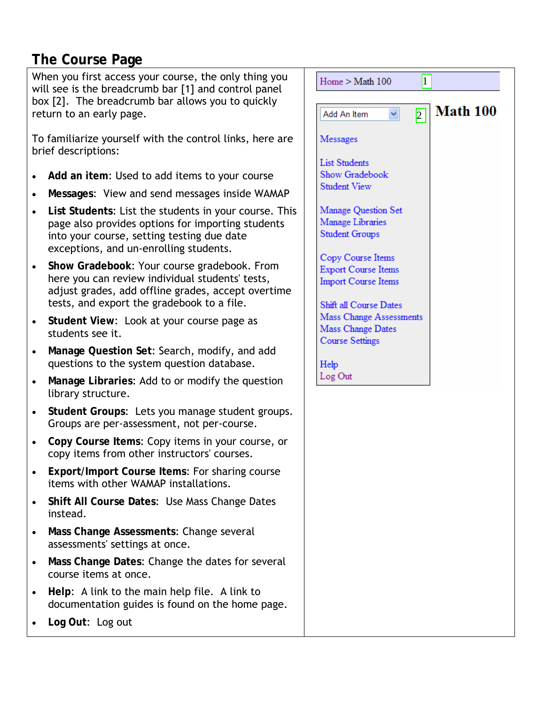## **The Course Page**

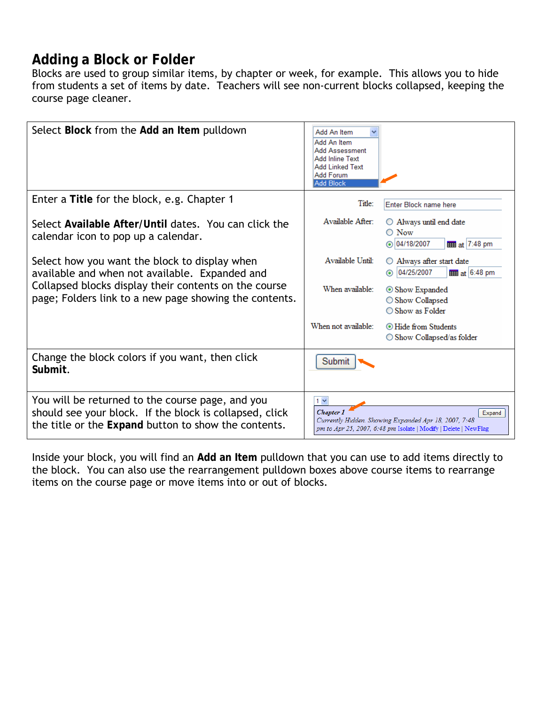# **Adding a Block or Folder**

Blocks are used to group similar items, by chapter or week, for example. This allows you to hide from students a set of items by date. Teachers will see non-current blocks collapsed, keeping the course page cleaner.

| Select Block from the Add an Item pulldown                                                                                                                          | Add An Item<br>Add An Item<br><b>Add Assessment</b><br><b>Add Inline Text</b><br><b>Add Linked Text</b><br>Add Forum<br><b>Add Block</b> |                                                                                                                                    |
|---------------------------------------------------------------------------------------------------------------------------------------------------------------------|------------------------------------------------------------------------------------------------------------------------------------------|------------------------------------------------------------------------------------------------------------------------------------|
| Enter a Title for the block, e.g. Chapter 1                                                                                                                         | Title:                                                                                                                                   | Enter Block name here                                                                                                              |
| Select Available After/Until dates. You can click the<br>calendar icon to pop up a calendar.                                                                        | Available After:                                                                                                                         | $\bigcirc$ Always until end date<br>$\bigcirc$ Now<br>⊙ 04/18/2007<br>$\frac{1}{2}$ at 7:48 pm                                     |
| Select how you want the block to display when<br>available and when not available. Expanded and                                                                     | Available Until:                                                                                                                         | ○ Always after start date<br>04/25/2007<br>$\frac{1}{2}$ at 6:48 pm<br>◉                                                           |
| Collapsed blocks display their contents on the course<br>page; Folders link to a new page showing the contents.                                                     | When available:                                                                                                                          | Show Expanded<br>◯ Show Collapsed<br>$\bigcirc$ Show as Folder                                                                     |
|                                                                                                                                                                     | When not available:                                                                                                                      | <b>I</b> Hide from Students<br>$\bigcirc$ Show Collapsed/as folder                                                                 |
| Change the block colors if you want, then click<br>Submit.                                                                                                          | Submit                                                                                                                                   |                                                                                                                                    |
| You will be returned to the course page, and you<br>should see your block. If the block is collapsed, click<br>the title or the Expand button to show the contents. | $1 -$<br><b>Chapter</b>                                                                                                                  | Expand<br>Currently Hidden. Showing Expanded Apr 18, 2007, 7:48<br>pm to Apr 25, 2007, 6:48 pm Isolate   Modify   Delete   NewFlag |

Inside your block, you will find an **Add an Item** pulldown that you can use to add items directly to the block. You can also use the rearrangement pulldown boxes above course items to rearrange items on the course page or move items into or out of blocks.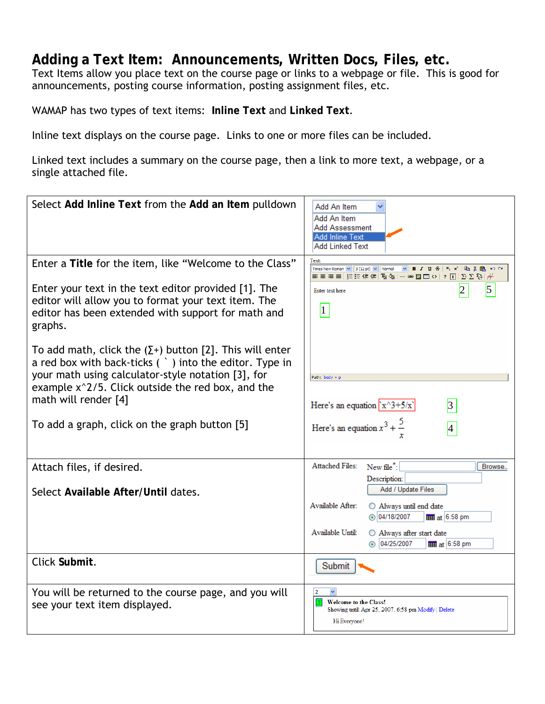#### **Adding a Text Item: Announcements, Written Docs, Files, etc.**

Text Items allow you place text on the course page or links to a webpage or file. This is good for announcements, posting course information, posting assignment files, etc.

WAMAP has two types of text items: **Inline Text** and **Linked Text**.

Inline text displays on the course page. Links to one or more files can be included.

Linked text includes a summary on the course page, then a link to more text, a webpage, or a single attached file.

| Select Add Inline Text from the Add an Item pulldown                                                                                                                                                                                                                                                                 | Add An Item<br>Add An Item<br>Add Assessment<br><b>Add Inline Text</b><br>Add Linked Text                                                                                                                                                                                                             |
|----------------------------------------------------------------------------------------------------------------------------------------------------------------------------------------------------------------------------------------------------------------------------------------------------------------------|-------------------------------------------------------------------------------------------------------------------------------------------------------------------------------------------------------------------------------------------------------------------------------------------------------|
| Enter a Title for the item, like "Welcome to the Class"<br>Enter your text in the text editor provided [1]. The<br>editor will allow you to format your text item. The<br>editor has been extended with support for math and<br>graphs.                                                                              | Text<br>v B I U S   x x   亀 X 亀 い C  <br>Times New Roman $\vert \mathbf{v} \vert \vert 3$ (12 pt) $\vert \mathbf{v} \vert \vert$ Normal<br>■ 巨田伊建 西侧 一●四田◇ ?[1] 2}∑發 ポ<br>5<br>Enter text here<br>$\vert$ 1                                                                                           |
| To add math, click the $(\Sigma^+)$ button [2]. This will enter<br>a red box with back-ticks $($ $)$ into the editor. Type in<br>your math using calculator-style notation [3], for<br>example $x^2/5$ . Click outside the red box, and the<br>math will render [4]<br>To add a graph, click on the graph button [5] | Path: body » p<br>Here's an equation $x^{3+5/x}$<br> 3 <br>Here's an equation $x^3 + \frac{5}{x}$<br>$\vert 4 \vert$                                                                                                                                                                                  |
| Attach files, if desired.<br>Select Available After/Until dates.                                                                                                                                                                                                                                                     | <b>Attached Files:</b><br>New file <sup>*</sup> :<br>Browse<br>Description:<br>Add / Update Files<br>Available After:<br>O Always until end date<br>$\odot$ 04/18/2007<br>$\frac{1}{2}$ at 6:58 pm<br>Available Until:<br>O Always after start date<br>$\odot$ 04/25/2007<br>$\frac{1}{2}$ at 6:58 pm |
| Click Submit.                                                                                                                                                                                                                                                                                                        | Submit                                                                                                                                                                                                                                                                                                |
| You will be returned to the course page, and you will<br>see your text item displayed.                                                                                                                                                                                                                               | $\overline{2}$<br><b>Welcome to the Class!</b><br>Showing until: Apr 25, 2007, 6:58 pm Modify   Delete<br>Hi Everyone!                                                                                                                                                                                |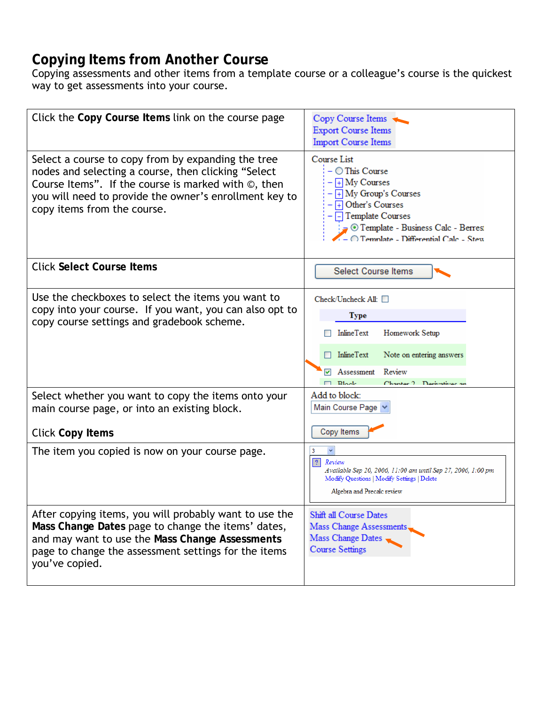## **Copying Items from Another Course**

Copying assessments and other items from a template course or a colleague's course is the quickest way to get assessments into your course.

| Click the Copy Course Items link on the course page                                                                                                                                                                                                                     | Copy Course Items<br><b>Export Course Items</b><br><b>Import Course Items</b>                                                                                                                                                                       |
|-------------------------------------------------------------------------------------------------------------------------------------------------------------------------------------------------------------------------------------------------------------------------|-----------------------------------------------------------------------------------------------------------------------------------------------------------------------------------------------------------------------------------------------------|
| Select a course to copy from by expanding the tree<br>nodes and selecting a course, then clicking "Select<br>Course Items". If the course is marked with $\circledcirc$ , then<br>you will need to provide the owner's enrollment key to<br>copy items from the course. | Course List<br>$ \bigcirc$ This Course<br>$-\boxed{+}$ My Courses<br>$ \boxed{+}$ My Group's Courses<br>$\overline{+}$ Other's Courses<br>$\Box$ Template Courses<br>Template - Business Calc - Berres<br>$-$ O Template - Differential Calc - Stew |
| <b>Click Select Course Items</b>                                                                                                                                                                                                                                        | Select Course Items                                                                                                                                                                                                                                 |
| Use the checkboxes to select the items you want to<br>copy into your course. If you want, you can also opt to<br>copy course settings and gradebook scheme.                                                                                                             | Check/Uncheck All: □<br>Type<br>Homework Setup<br><b>InlineText</b><br>InlineText<br>Note on entering answers<br>Review<br>Assessment<br>$\Box$ Riock<br>Chanter 7 Demostries an                                                                    |
| Select whether you want to copy the items onto your<br>main course page, or into an existing block.                                                                                                                                                                     | Add to block:<br>Main Course Page                                                                                                                                                                                                                   |
| <b>Click Copy Items</b>                                                                                                                                                                                                                                                 | Copy Items                                                                                                                                                                                                                                          |
| The item you copied is now on your course page.                                                                                                                                                                                                                         | 2 <br>Review<br>Available Sep 20, 2006, 11:00 am until Sep 27, 2006, 1:00 pm<br>Modify Questions   Modify Settings   Delete<br>Algebra and Precalc review                                                                                           |
| After copying items, you will probably want to use the<br>Mass Change Dates page to change the items' dates,<br>and may want to use the Mass Change Assessments<br>page to change the assessment settings for the items<br>you've copied.                               | Shift all Course Dates<br>Mass Change Assessments<br>Mass Change Dates<br><b>Course Settings</b>                                                                                                                                                    |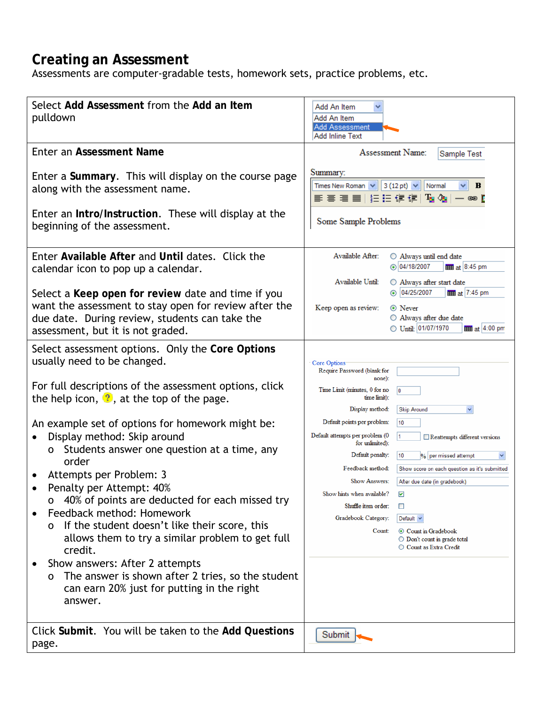#### **Creating an Assessment**

Assessments are computer-gradable tests, homework sets, practice problems, etc.

| Select Add Assessment from the Add an Item<br>pulldown                                                                                                                                                                                                                                                                                                                                                         | Add An Item<br>Add An Item<br><b>Add Assessment</b><br><b>Add Inline Text</b>                                                                                                                                                                                                                                                                                                                                                                                           |
|----------------------------------------------------------------------------------------------------------------------------------------------------------------------------------------------------------------------------------------------------------------------------------------------------------------------------------------------------------------------------------------------------------------|-------------------------------------------------------------------------------------------------------------------------------------------------------------------------------------------------------------------------------------------------------------------------------------------------------------------------------------------------------------------------------------------------------------------------------------------------------------------------|
| Enter an Assessment Name                                                                                                                                                                                                                                                                                                                                                                                       | Assessment Name:<br>Sample Test                                                                                                                                                                                                                                                                                                                                                                                                                                         |
| Enter a Summary. This will display on the course page<br>along with the assessment name.<br>Enter an Intro/Instruction. These will display at the<br>beginning of the assessment.                                                                                                                                                                                                                              | Summary:<br>Times New Roman $\sqrt{3(12 \text{ pt})}$<br>Normal<br>В<br>朝着看着 医白细胞 医心理<br>ඏ [<br>Some Sample Problems                                                                                                                                                                                                                                                                                                                                                    |
| Enter Available After and Until dates. Click the<br>calendar icon to pop up a calendar.<br>Select a Keep open for review date and time if you<br>want the assessment to stay open for review after the<br>due date. During review, students can take the<br>assessment, but it is not graded.                                                                                                                  | Available After:<br>$\bigcirc$ Always until end date<br>◯ 04/18/2007<br>$\frac{1}{2}$ at 8:45 pm<br>Available Until:<br>○ Always after start date<br>04/25/2007<br>$\frac{1}{2}$ at 7:45 pm<br>Keep open as review:<br>⊙ Never<br>○ Always after due date<br>◯ Until: 01/07/1970<br>$\frac{1}{2}$ at 4:00 pm                                                                                                                                                            |
| Select assessment options. Only the Core Options<br>usually need to be changed.                                                                                                                                                                                                                                                                                                                                | Core Options<br>Require Password (blank for<br>none):                                                                                                                                                                                                                                                                                                                                                                                                                   |
| For full descriptions of the assessment options, click<br>the help icon, $\Omega$ , at the top of the page.<br>An example set of options for homework might be:<br>Display method: Skip around<br>$\bullet$<br>Students answer one question at a time, any<br>O<br>order<br>Attempts per Problem: 3<br>Penalty per Attempt: 40%<br>40% of points are deducted for each missed try<br>Feedback method: Homework | Time Limit (minutes, 0 for no<br>10<br>time limit):<br>Display method:<br><b>Skip Around</b><br>Default points per problem:<br>10<br>Default attempts per problem (0<br>Reattempts different versions<br>for unlimited):<br>Default penalty:<br>10<br>% per missed attempt<br>Feedback method:<br>Show score on each question as it's submitted<br><b>Show Answers:</b><br>After due date (in gradebook)<br>Show hints when available?<br>☑<br>Shuffle item order:<br>ш |
| If the student doesn't like their score, this<br>0<br>allows them to try a similar problem to get full<br>credit.<br>Show answers: After 2 attempts<br>The answer is shown after 2 tries, so the student<br>0<br>can earn 20% just for putting in the right<br>answer.                                                                                                                                         | Gradebook Category:<br>Default $\sim$<br>Count:<br>⊙ Count in Gradebook<br>$\bigcirc$ Don't count in grade total<br>○ Count as Extra Credit                                                                                                                                                                                                                                                                                                                             |
| Click Submit. You will be taken to the Add Questions<br>page.                                                                                                                                                                                                                                                                                                                                                  | Submit                                                                                                                                                                                                                                                                                                                                                                                                                                                                  |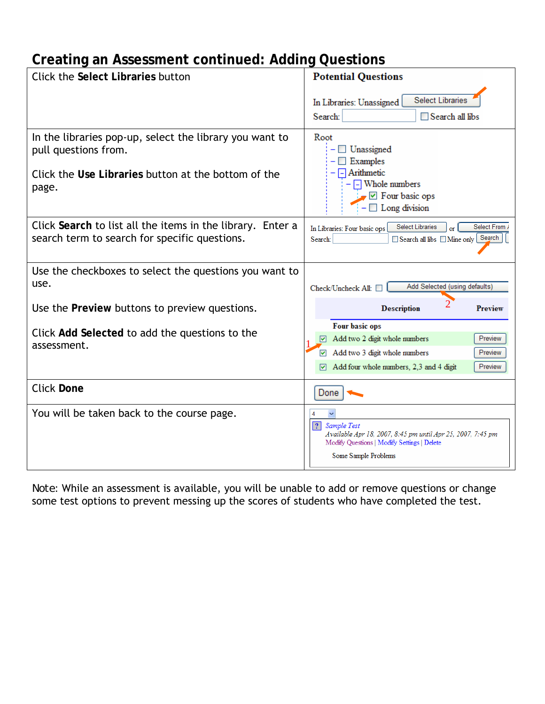# **Creating an Assessment continued: Adding Questions**

| Click the Select Libraries button                                                                                                               | <b>Potential Questions</b>                                                                                                                                        |
|-------------------------------------------------------------------------------------------------------------------------------------------------|-------------------------------------------------------------------------------------------------------------------------------------------------------------------|
|                                                                                                                                                 | <b>Select Libraries</b><br>In Libraries: Unassigned<br>Search:<br>Search all libs                                                                                 |
| In the libraries pop-up, select the library you want to<br>pull questions from.<br>Click the Use Libraries button at the bottom of the<br>page. | Root<br>Unassigned<br>Examples<br>$\Box$ Arithmetic<br>$\Box$ Whole numbers<br>$\triangledown$ Four basic ops<br>$\Box$ Long division                             |
| Click Search to list all the items in the library. Enter a<br>search term to search for specific questions.                                     | Select From /<br><b>Select Libraries</b><br>In Libraries: Four basic ops<br>Search<br>$\Box$ Search all libs $\Box$ Mine only<br>Search:                          |
| Use the checkboxes to select the questions you want to<br>use.                                                                                  | Add Selected (using defaults)<br>Check/Uncheck All:                                                                                                               |
| Use the Preview buttons to preview questions.                                                                                                   | <b>Description</b><br><b>Preview</b>                                                                                                                              |
| Click Add Selected to add the questions to the<br>assessment.                                                                                   | Four basic ops<br>Add two 2 digit whole numbers<br>Preview<br>Add two 3 digit whole numbers<br>Preview<br>▿<br>Add four whole numbers, 2,3 and 4 digit<br>Preview |
| <b>Click Done</b>                                                                                                                               | Done                                                                                                                                                              |
| You will be taken back to the course page.                                                                                                      | ? <br>Sample Test<br>Available Apr 18, 2007, 8:45 pm until Apr 25, 2007, 7:45 pm<br>Modify Questions   Modify Settings   Delete<br>Some Sample Problems           |

*Note:* While an assessment is available, you will be unable to add or remove questions or change some test options to prevent messing up the scores of students who have completed the test.